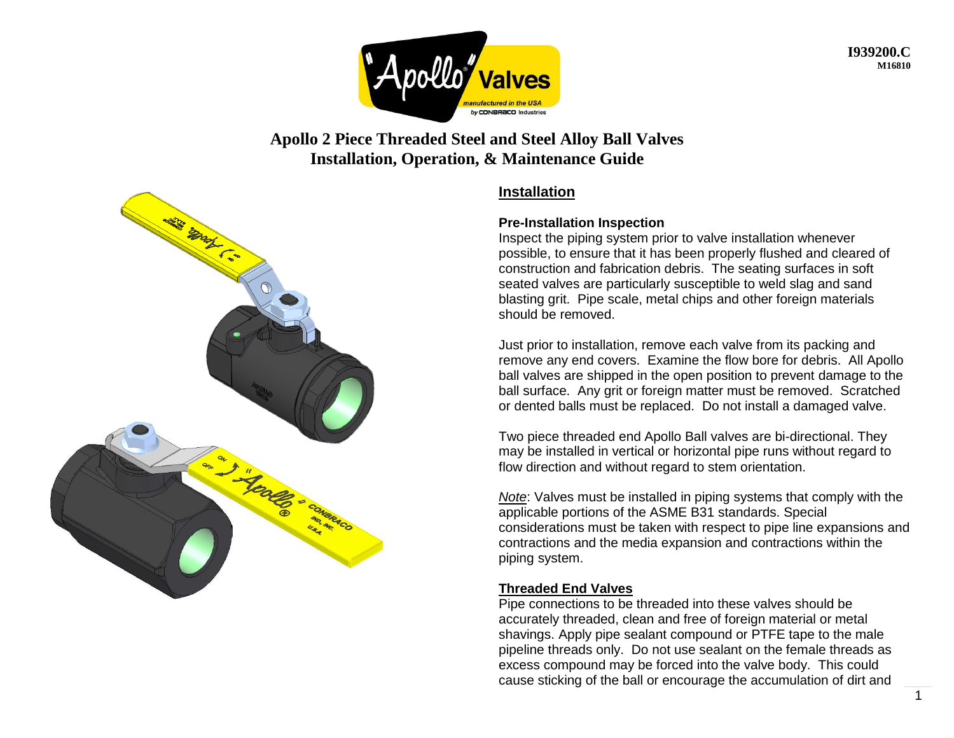

**I939200.C M16810**

# **Apollo 2 Piece Threaded Steel and Steel Alloy Ball Valves Installation, Operation, & Maintenance Guide**



### **Installation**

#### **Pre-Installation Inspection**

Inspect the piping system prior to valve installation whenever possible, to ensure that it has been properly flushed and cleared of construction and fabrication debris. The seating surfaces in soft seated valves are particularly susceptible to weld slag and sand blasting grit. Pipe scale, metal chips and other foreign materials should be removed.

Just prior to installation, remove each valve from its packing and remove any end covers. Examine the flow bore for debris. All Apollo ball valves are shipped in the open position to prevent damage to the ball surface. Any grit or foreign matter must be removed. Scratched or dented balls must be replaced. Do not install a damaged valve.

Two piece threaded end Apollo Ball valves are bi-directional. They may be installed in vertical or horizontal pipe runs without regard to flow direction and without regard to stem orientation.

*Note*: Valves must be installed in piping systems that comply with the applicable portions of the ASME B31 standards. Special considerations must be taken with respect to pipe line expansions and contractions and the media expansion and contractions within the piping system.

### **Threaded End Valves**

Pipe connections to be threaded into these valves should be accurately threaded, clean and free of foreign material or metal shavings. Apply pipe sealant compound or PTFE tape to the male pipeline threads only. Do not use sealant on the female threads as excess compound may be forced into the valve body. This could cause sticking of the ball or encourage the accumulation of dirt and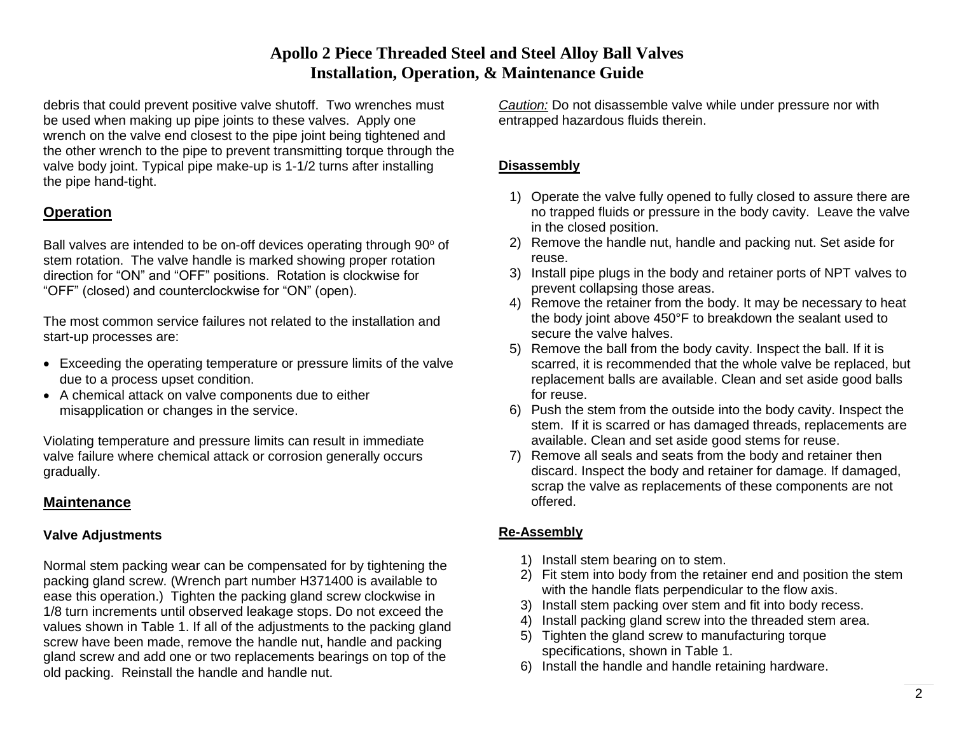## **Apollo 2 Piece Threaded Steel and Steel Alloy Ball Valves Installation, Operation, & Maintenance Guide**

debris that could prevent positive valve shutoff. Two wrenches must be used when making up pipe joints to these valves. Apply one wrench on the valve end closest to the pipe joint being tightened and the other wrench to the pipe to prevent transmitting torque through the valve body joint. Typical pipe make-up is 1-1/2 turns after installing the pipe hand-tight.

### **Operation**

Ball valves are intended to be on-off devices operating through 90° of stem rotation. The valve handle is marked showing proper rotation direction for "ON" and "OFF" positions. Rotation is clockwise for "OFF" (closed) and counterclockwise for "ON" (open).

The most common service failures not related to the installation and start-up processes are:

- Exceeding the operating temperature or pressure limits of the valve due to a process upset condition.
- A chemical attack on valve components due to either misapplication or changes in the service.

Violating temperature and pressure limits can result in immediate valve failure where chemical attack or corrosion generally occurs gradually.

### **Maintenance**

### **Valve Adjustments**

Normal stem packing wear can be compensated for by tightening the packing gland screw. (Wrench part number H371400 is available to ease this operation.) Tighten the packing gland screw clockwise in 1/8 turn increments until observed leakage stops. Do not exceed the values shown in Table 1. If all of the adjustments to the packing gland screw have been made, remove the handle nut, handle and packing gland screw and add one or two replacements bearings on top of the old packing. Reinstall the handle and handle nut.

*Caution:* Do not disassemble valve while under pressure nor with entrapped hazardous fluids therein.

#### **Disassembly**

- 1) Operate the valve fully opened to fully closed to assure there are no trapped fluids or pressure in the body cavity. Leave the valve in the closed position.
- 2) Remove the handle nut, handle and packing nut. Set aside for reuse.
- 3) Install pipe plugs in the body and retainer ports of NPT valves to prevent collapsing those areas.
- 4) Remove the retainer from the body. It may be necessary to heat the body joint above 450°F to breakdown the sealant used to secure the valve halves.
- 5) Remove the ball from the body cavity. Inspect the ball. If it is scarred, it is recommended that the whole valve be replaced, but replacement balls are available. Clean and set aside good balls for reuse.
- 6) Push the stem from the outside into the body cavity. Inspect the stem. If it is scarred or has damaged threads, replacements are available. Clean and set aside good stems for reuse.
- 7) Remove all seals and seats from the body and retainer then discard. Inspect the body and retainer for damage. If damaged, scrap the valve as replacements of these components are not offered.

#### **Re-Assembly**

- 1) Install stem bearing on to stem.
- 2) Fit stem into body from the retainer end and position the stem with the handle flats perpendicular to the flow axis.
- 3) Install stem packing over stem and fit into body recess.
- 4) Install packing gland screw into the threaded stem area.
- 5) Tighten the gland screw to manufacturing torque specifications, shown in Table 1.
- 6) Install the handle and handle retaining hardware.